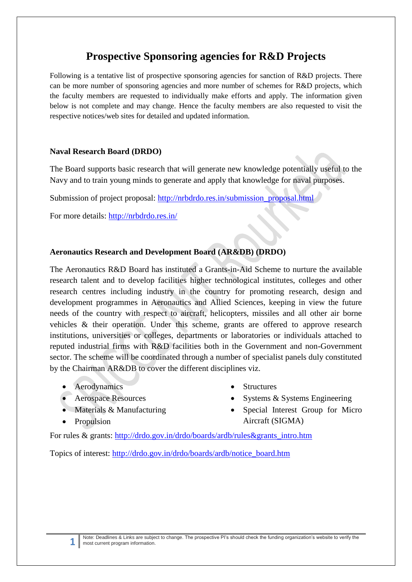# **Prospective Sponsoring agencies for R&D Projects**

Following is a tentative list of prospective sponsoring agencies for sanction of R&D projects. There can be more number of sponsoring agencies and more number of schemes for R&D projects, which the faculty members are requested to individually make efforts and apply. The information given below is not complete and may change. Hence the faculty members are also requested to visit the respective notices/web sites for detailed and updated information.

#### **Naval Research Board (DRDO)**

The Board supports basic research that will generate new knowledge potentially useful to the Navy and to train young minds to generate and apply that knowledge for naval purposes.

Submission of project proposal: [http://nrbdrdo.res.in/submission\\_proposal.html](http://nrbdrdo.res.in/submission_proposal.html)

For more details:<http://nrbdrdo.res.in/>

# **Aeronautics Research and Development Board (AR&DB) (DRDO)**

The Aeronautics R&D Board has instituted a Grants-in-Aid Scheme to nurture the available research talent and to develop facilities higher technological institutes, colleges and other research centres including industry in the country for promoting research, design and development programmes in Aeronautics and Allied Sciences, keeping in view the future needs of the country with respect to aircraft, helicopters, missiles and all other air borne vehicles & their operation. Under this scheme, grants are offered to approve research institutions, universities or colleges, departments or laboratories or individuals attached to reputed industrial firms with R&D facilities both in the Government and non-Government sector. The scheme will be coordinated through a number of specialist panels duly constituted by the Chairman AR&DB to cover the different disciplines viz.

- Aerodynamics
- Aerospace Resources
- Materials & Manufacturing
- Propulsion

**1**

- **Structures**
- Systems & Systems Engineering
- Special Interest Group for Micro Aircraft (SIGMA)

For rules & grants: [http://drdo.gov.in/drdo/boards/ardb/rules&grants\\_intro.htm](http://drdo.gov.in/drdo/boards/ardb/rules&grants_intro.htm)

Topics of interest: [http://drdo.gov.in/drdo/boards/ardb/notice\\_board.htm](http://drdo.gov.in/drdo/boards/ardb/notice_board.htm)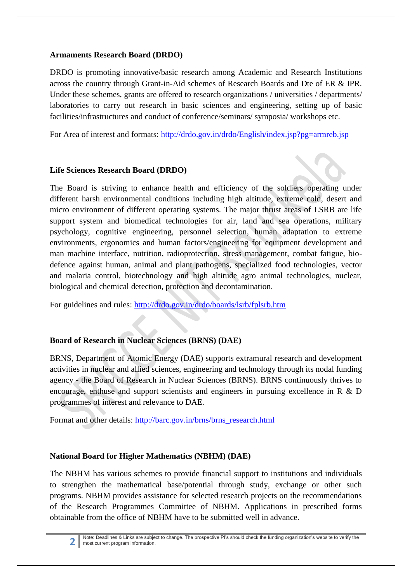#### **Armaments Research Board (DRDO)**

DRDO is promoting innovative/basic research among Academic and Research Institutions across the country through Grant-in-Aid schemes of Research Boards and Dte of ER & IPR. Under these schemes, grants are offered to research organizations / universities / departments/ laboratories to carry out research in basic sciences and engineering, setting up of basic facilities/infrastructures and conduct of conference/seminars/ symposia/ workshops etc.

For Area of interest and formats:<http://drdo.gov.in/drdo/English/index.jsp?pg=armreb.jsp>

### **Life Sciences Research Board (DRDO)**

The Board is striving to enhance health and efficiency of the soldiers operating under different harsh environmental conditions including high altitude, extreme cold, desert and micro environment of different operating systems. The major thrust areas of LSRB are life support system and biomedical technologies for air, land and sea operations, military psychology, cognitive engineering, personnel selection, human adaptation to extreme environments, ergonomics and human factors/engineering for equipment development and man machine interface, nutrition, radioprotection, stress management, combat fatigue, biodefence against human, animal and plant pathogens, specialized food technologies, vector and malaria control, biotechnology and high altitude agro animal technologies, nuclear, biological and chemical detection, protection and decontamination.

For guidelines and rules:<http://drdo.gov.in/drdo/boards/lsrb/fplsrb.htm>

# **Board of Research in Nuclear Sciences (BRNS) (DAE)**

BRNS, Department of Atomic Energy (DAE) supports extramural research and development activities in nuclear and allied sciences, engineering and technology through its nodal funding agency - the Board of Research in Nuclear Sciences (BRNS). BRNS continuously thrives to encourage, enthuse and support scientists and engineers in pursuing excellence in R  $\&$  D programmes of interest and relevance to DAE.

Format and other details: [http://barc.gov.in/brns/brns\\_research.html](http://barc.gov.in/brns/brns_research.html)

### **National Board for Higher Mathematics (NBHM) (DAE)**

The NBHM has various schemes to provide financial support to institutions and individuals to strengthen the mathematical base/potential through study, exchange or other such programs. NBHM provides assistance for selected research projects on the recommendations of the Research Programmes Committee of NBHM. Applications in prescribed forms obtainable from the office of NBHM have to be submitted well in advance.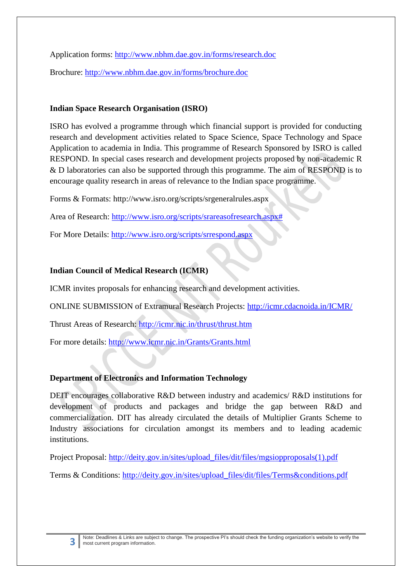Application forms:<http://www.nbhm.dae.gov.in/forms/research.doc> Brochure: <http://www.nbhm.dae.gov.in/forms/brochure.doc>

#### **Indian Space Research Organisation (ISRO)**

ISRO has evolved a programme through which financial support is provided for conducting research and development activities related to Space Science, Space Technology and Space Application to academia in India. This programme of Research Sponsored by ISRO is called RESPOND. In special cases research and development projects proposed by non-academic R & D laboratories can also be supported through this programme. The aim of RESPOND is to encourage quality research in areas of relevance to the Indian space programme.

Forms & Formats: http://www.isro.org/scripts/srgeneralrules.aspx

Area of Research: [http://www.isro.org/scripts/srareasofresearch.aspx#](http://www.isro.org/scripts/srareasofresearch.aspx)

For More Details:<http://www.isro.org/scripts/srrespond.aspx>

### **Indian Council of Medical Research (ICMR)**

ICMR invites proposals for enhancing research and development activities.

ONLINE SUBMISSION of Extramural Research Projects:<http://icmr.cdacnoida.in/ICMR/>

Thrust Areas of Research:<http://icmr.nic.in/thrust/thrust.htm>

For more details:<http://www.icmr.nic.in/Grants/Grants.html>

### **Department of Electronics and Information Technology**

DEIT encourages collaborative R&D between industry and academics/ R&D institutions for development of products and packages and bridge the gap between R&D and commercialization. DIT has already circulated the details of Multiplier Grants Scheme to Industry associations for circulation amongst its members and to leading academic institutions.

Project Proposal: [http://deity.gov.in/sites/upload\\_files/dit/files/mgsiopproposals\(1\).pdf](http://deity.gov.in/sites/upload_files/dit/files/mgsiopproposals(1).pdf)

Terms & Conditions: [http://deity.gov.in/sites/upload\\_files/dit/files/Terms&conditions.pdf](http://deity.gov.in/sites/upload_files/dit/files/Terms&conditions.pdf)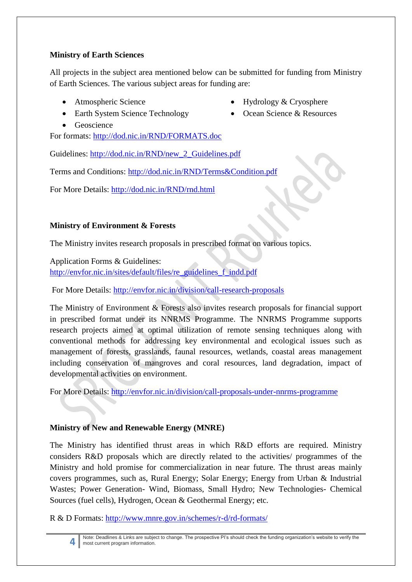### **Ministry of Earth Sciences**

All projects in the subject area mentioned below can be submitted for funding from Ministry of Earth Sciences. The various subject areas for funding are:

Atmospheric Science

• Hydrology & Cryosphere

• Ocean Science & Resources

- Earth System Science Technology
- Geoscience

For formats:<http://dod.nic.in/RND/FORMATS.doc>

Guidelines: [http://dod.nic.in/RND/new\\_2\\_Guidelines.pdf](http://dod.nic.in/RND/new_2_Guidelines.pdf)

Terms and Conditions:<http://dod.nic.in/RND/Terms&Condition.pdf>

For More Details:<http://dod.nic.in/RND/rnd.html>

# **Ministry of Environment & Forests**

The Ministry invites research proposals in prescribed format on various topics.

Application Forms & Guidelines:

[http://envfor.nic.in/sites/default/files/re\\_guidelines\\_f\\_indd.pdf](http://envfor.nic.in/sites/default/files/re_guidelines_f_indd.pdf)

For More Details:<http://envfor.nic.in/division/call-research-proposals>

The Ministry of Environment & Forests also invites research proposals for financial support in prescribed format under its NNRMS Programme. The NNRMS Programme supports research projects aimed at optimal utilization of remote sensing techniques along with conventional methods for addressing key environmental and ecological issues such as management of forests, grasslands, faunal resources, wetlands, coastal areas management including conservation of mangroves and coral resources, land degradation, impact of developmental activities on environment.

For More Details:<http://envfor.nic.in/division/call-proposals-under-nnrms-programme>

# **Ministry of New and Renewable Energy (MNRE)**

The Ministry has identified thrust areas in which R&D efforts are required. Ministry considers R&D proposals which are directly related to the activities/ programmes of the Ministry and hold promise for commercialization in near future. The thrust areas mainly covers programmes, such as, Rural Energy; Solar Energy; Energy from Urban & Industrial Wastes; Power Generation- Wind, Biomass, Small Hydro; New Technologies- Chemical Sources (fuel cells), Hydrogen, Ocean & Geothermal Energy; etc.

R & D Formats:<http://www.mnre.gov.in/schemes/r-d/rd-formats/>

**<sup>4</sup>** Note: Deadlines & Links are subject to change. The prospective PI's should check the funding organization's website to verify the most current program information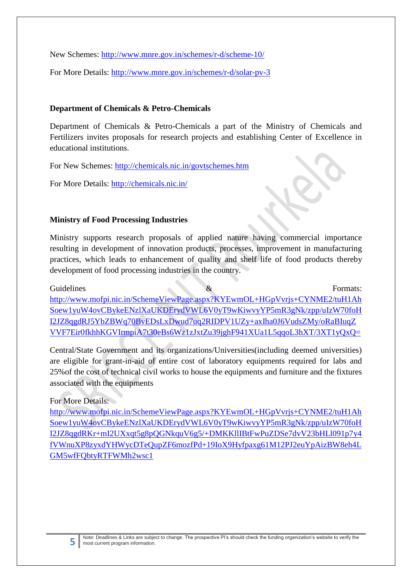New Schemes:<http://www.mnre.gov.in/schemes/r-d/scheme-10/>

For More Details:<http://www.mnre.gov.in/schemes/r-d/solar-pv-3>

#### **Department of Chemicals & Petro-Chemicals**

Department of Chemicals & Petro-Chemicals a part of the Ministry of Chemicals and Fertilizers invites proposals for research projects and establishing Center of Excellence in educational institutions.

For New Schemes:<http://chemicals.nic.in/govtschemes.htm>

For More Details:<http://chemicals.nic.in/>

#### **Ministry of Food Processing Industries**

Ministry supports research proposals of applied nature having commercial importance resulting in development of innovation products, processes, improvement in manufacturing practices, which leads to enhancement of quality and shelf life of food products thereby development of food processing industries in the country.

Guidelines  $\&$  Formats: [http://www.mofpi.nic.in/SchemeViewPage.aspx?KYEwmOL+HGpVvrjs+CYNME2/tuH1Ah](http://www.mofpi.nic.in/SchemeViewPage.aspx?KYEwmOL+HGpVvrjs+CYNME2/tuH1AhSoew1yuW4ovCBykeENzlXaUKDErydVWL6V0yT9wKiwvyYP5mR3gNk/zpp/uIzW70foHI2JZ8qgdRJ5YbZBWq70BvEDsLxDwud7uq2RIDPV1UZy+axIha0J6VudsZMy/oRaBIuqZVVF7Eir0fkhhKGVIrmpiA7t30eBs6Wz1zJxtZu39jghF941XUa1L5qqoL3hXT/3XT1yQxQ=) [Soew1yuW4ovCBykeENzlXaUKDErydVWL6V0yT9wKiwvyYP5mR3gNk/zpp/uIzW70foH](http://www.mofpi.nic.in/SchemeViewPage.aspx?KYEwmOL+HGpVvrjs+CYNME2/tuH1AhSoew1yuW4ovCBykeENzlXaUKDErydVWL6V0yT9wKiwvyYP5mR3gNk/zpp/uIzW70foHI2JZ8qgdRJ5YbZBWq70BvEDsLxDwud7uq2RIDPV1UZy+axIha0J6VudsZMy/oRaBIuqZVVF7Eir0fkhhKGVIrmpiA7t30eBs6Wz1zJxtZu39jghF941XUa1L5qqoL3hXT/3XT1yQxQ=) [I2JZ8qgdRJ5YbZBWq70BvEDsLxDwud7uq2RIDPV1UZy+axIha0J6VudsZMy/oRaBIuqZ](http://www.mofpi.nic.in/SchemeViewPage.aspx?KYEwmOL+HGpVvrjs+CYNME2/tuH1AhSoew1yuW4ovCBykeENzlXaUKDErydVWL6V0yT9wKiwvyYP5mR3gNk/zpp/uIzW70foHI2JZ8qgdRJ5YbZBWq70BvEDsLxDwud7uq2RIDPV1UZy+axIha0J6VudsZMy/oRaBIuqZVVF7Eir0fkhhKGVIrmpiA7t30eBs6Wz1zJxtZu39jghF941XUa1L5qqoL3hXT/3XT1yQxQ=) [VVF7Eir0fkhhKGVIrmpiA7t30eBs6Wz1zJxtZu39jghF941XUa1L5qqoL3hXT/3XT1yQxQ=](http://www.mofpi.nic.in/SchemeViewPage.aspx?KYEwmOL+HGpVvrjs+CYNME2/tuH1AhSoew1yuW4ovCBykeENzlXaUKDErydVWL6V0yT9wKiwvyYP5mR3gNk/zpp/uIzW70foHI2JZ8qgdRJ5YbZBWq70BvEDsLxDwud7uq2RIDPV1UZy+axIha0J6VudsZMy/oRaBIuqZVVF7Eir0fkhhKGVIrmpiA7t30eBs6Wz1zJxtZu39jghF941XUa1L5qqoL3hXT/3XT1yQxQ=)

Central/State Government and its organizations/Universities(including deemed universities) are eligible for grant-in-aid of entire cost of laboratory equipments required for labs and 25%of the cost of technical civil works to house the equipments and furniture and the fixtures associated with the equipments

#### For More Details:

[http://www.mofpi.nic.in/SchemeViewPage.aspx?KYEwmOL+HGpVvrjs+CYNME2/tuH1Ah](http://www.mofpi.nic.in/SchemeViewPage.aspx?KYEwmOL+HGpVvrjs+CYNME2/tuH1AhSoew1yuW4ovCBykeENzlXaUKDErydVWL6V0yT9wKiwvyYP5mR3gNk/zpp/uIzW70foHI2JZ8qgdRKr+mI2UXxqt5g8pQGNkquV6g5/+DMKKllIBtFwPuZDSe7dvV23bHLl091p7y4fVWnuXP8zyxdYHWycDTeQupZF6mozfPd+19IoX9Hyfpaxg61M12PJ2euYpAizBW8eh4LGM5wfFQbtyRTFWMh2wsc1) [Soew1yuW4ovCBykeENzlXaUKDErydVWL6V0yT9wKiwvyYP5mR3gNk/zpp/uIzW70foH](http://www.mofpi.nic.in/SchemeViewPage.aspx?KYEwmOL+HGpVvrjs+CYNME2/tuH1AhSoew1yuW4ovCBykeENzlXaUKDErydVWL6V0yT9wKiwvyYP5mR3gNk/zpp/uIzW70foHI2JZ8qgdRKr+mI2UXxqt5g8pQGNkquV6g5/+DMKKllIBtFwPuZDSe7dvV23bHLl091p7y4fVWnuXP8zyxdYHWycDTeQupZF6mozfPd+19IoX9Hyfpaxg61M12PJ2euYpAizBW8eh4LGM5wfFQbtyRTFWMh2wsc1) [I2JZ8qgdRKr+mI2UXxqt5g8pQGNkquV6g5/+DMKKllIBtFwPuZDSe7dvV23bHLl091p7y4](http://www.mofpi.nic.in/SchemeViewPage.aspx?KYEwmOL+HGpVvrjs+CYNME2/tuH1AhSoew1yuW4ovCBykeENzlXaUKDErydVWL6V0yT9wKiwvyYP5mR3gNk/zpp/uIzW70foHI2JZ8qgdRKr+mI2UXxqt5g8pQGNkquV6g5/+DMKKllIBtFwPuZDSe7dvV23bHLl091p7y4fVWnuXP8zyxdYHWycDTeQupZF6mozfPd+19IoX9Hyfpaxg61M12PJ2euYpAizBW8eh4LGM5wfFQbtyRTFWMh2wsc1) [fVWnuXP8zyxdYHWycDTeQupZF6mozfPd+19IoX9Hyfpaxg61M12PJ2euYpAizBW8eh4L](http://www.mofpi.nic.in/SchemeViewPage.aspx?KYEwmOL+HGpVvrjs+CYNME2/tuH1AhSoew1yuW4ovCBykeENzlXaUKDErydVWL6V0yT9wKiwvyYP5mR3gNk/zpp/uIzW70foHI2JZ8qgdRKr+mI2UXxqt5g8pQGNkquV6g5/+DMKKllIBtFwPuZDSe7dvV23bHLl091p7y4fVWnuXP8zyxdYHWycDTeQupZF6mozfPd+19IoX9Hyfpaxg61M12PJ2euYpAizBW8eh4LGM5wfFQbtyRTFWMh2wsc1) [GM5wfFQbtyRTFWMh2wsc1](http://www.mofpi.nic.in/SchemeViewPage.aspx?KYEwmOL+HGpVvrjs+CYNME2/tuH1AhSoew1yuW4ovCBykeENzlXaUKDErydVWL6V0yT9wKiwvyYP5mR3gNk/zpp/uIzW70foHI2JZ8qgdRKr+mI2UXxqt5g8pQGNkquV6g5/+DMKKllIBtFwPuZDSe7dvV23bHLl091p7y4fVWnuXP8zyxdYHWycDTeQupZF6mozfPd+19IoX9Hyfpaxg61M12PJ2euYpAizBW8eh4LGM5wfFQbtyRTFWMh2wsc1)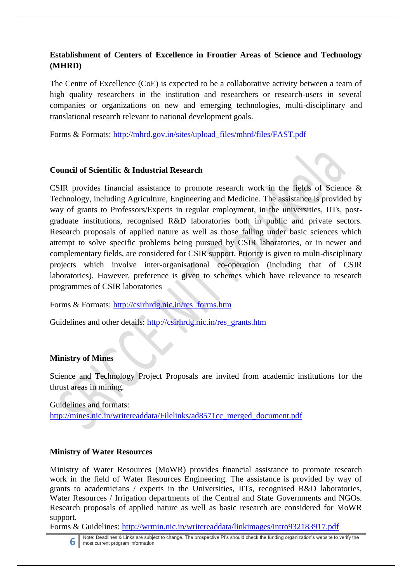# **Establishment of Centers of Excellence in Frontier Areas of Science and Technology (MHRD)**

The Centre of Excellence (CoE) is expected to be a collaborative activity between a team of high quality researchers in the institution and researchers or research-users in several companies or organizations on new and emerging technologies, multi-disciplinary and translational research relevant to national development goals.

Forms & Formats: [http://mhrd.gov.in/sites/upload\\_files/mhrd/files/FAST.pdf](http://mhrd.gov.in/sites/upload_files/mhrd/files/FAST.pdf)

#### **Council of Scientific & Industrial Research**

CSIR provides financial assistance to promote research work in the fields of Science & Technology, including Agriculture, Engineering and Medicine. The assistance is provided by way of grants to Professors/Experts in regular employment, in the universities, IITs, postgraduate institutions, recognised R&D laboratories both in public and private sectors. Research proposals of applied nature as well as those falling under basic sciences which attempt to solve specific problems being pursued by CSIR laboratories, or in newer and complementary fields, are considered for CSIR support. Priority is given to multi-disciplinary projects which involve inter-organisational co-operation (including that of CSIR laboratories). However, preference is given to schemes which have relevance to research programmes of CSIR laboratories

Forms & Formats: [http://csirhrdg.nic.in/res\\_forms.htm](http://csirhrdg.nic.in/res_forms.htm)

Guidelines and other details: [http://csirhrdg.nic.in/res\\_grants.htm](http://csirhrdg.nic.in/res_grants.htm)

### **Ministry of Mines**

Science and Technology Project Proposals are invited from academic institutions for the thrust areas in mining.

Guidelines and formats: [http://mines.nic.in/writereaddata/Filelinks/ad8571cc\\_merged\\_document.pdf](http://mines.nic.in/writereaddata/Filelinks/ad8571cc_merged_document.pdf)

### **Ministry of Water Resources**

Ministry of Water Resources (MoWR) provides financial assistance to promote research work in the field of Water Resources Engineering. The assistance is provided by way of grants to academicians / experts in the Universities, IITs, recognised R&D laboratories, Water Resources / Irrigation departments of the Central and State Governments and NGOs. Research proposals of applied nature as well as basic research are considered for MoWR support.

Forms & Guidelines:<http://wrmin.nic.in/writereaddata/linkimages/intro932183917.pdf>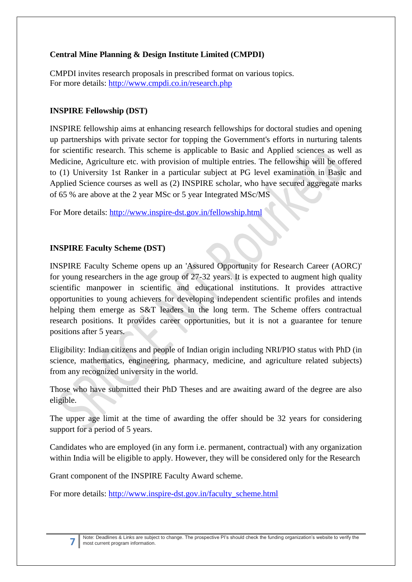# **Central Mine Planning & Design Institute Limited (CMPDI)**

CMPDI invites research proposals in prescribed format on various topics. For more details:<http://www.cmpdi.co.in/research.php>

# **INSPIRE Fellowship (DST)**

INSPIRE fellowship aims at enhancing research fellowships for doctoral studies and opening up partnerships with private sector for topping the Government's efforts in nurturing talents for scientific research. This scheme is applicable to Basic and Applied sciences as well as Medicine, Agriculture etc. with provision of multiple entries. The fellowship will be offered to (1) University 1st Ranker in a particular subject at PG level examination in Basic and Applied Science courses as well as (2) INSPIRE scholar, who have secured aggregate marks of 65 % are above at the 2 year MSc or 5 year Integrated MSc/MS

For More details:<http://www.inspire-dst.gov.in/fellowship.html>

### **INSPIRE Faculty Scheme (DST)**

INSPIRE Faculty Scheme opens up an 'Assured Opportunity for Research Career (AORC)' for young researchers in the age group of 27-32 years. It is expected to augment high quality scientific manpower in scientific and educational institutions. It provides attractive opportunities to young achievers for developing independent scientific profiles and intends helping them emerge as S&T leaders in the long term. The Scheme offers contractual research positions. It provides career opportunities, but it is not a guarantee for tenure positions after 5 years.

Eligibility: Indian citizens and people of Indian origin including NRI/PIO status with PhD (in science, mathematics, engineering, pharmacy, medicine, and agriculture related subjects) from any recognized university in the world.

Those who have submitted their PhD Theses and are awaiting award of the degree are also eligible.

The upper age limit at the time of awarding the offer should be 32 years for considering support for a period of 5 years.

Candidates who are employed (in any form i.e. permanent, contractual) with any organization within India will be eligible to apply. However, they will be considered only for the Research

Grant component of the INSPIRE Faculty Award scheme.

For more details: [http://www.inspire-dst.gov.in/faculty\\_scheme.html](http://www.inspire-dst.gov.in/faculty_scheme.html)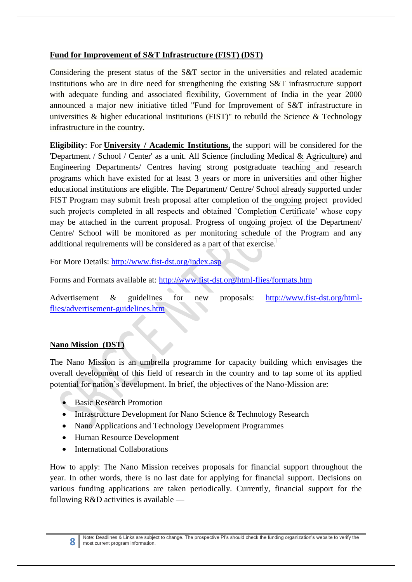# **Fund for Improvement of S&T Infrastructure (FIST) (DST)**

Considering the present status of the S&T sector in the universities and related academic institutions who are in dire need for strengthening the existing S&T infrastructure support with adequate funding and associated flexibility, Government of India in the year 2000 announced a major new initiative titled "Fund for Improvement of S&T infrastructure in universities & higher educational institutions (FIST)" to rebuild the Science & Technology infrastructure in the country.

**Eligibility**: For **University / Academic Institutions,** the support will be considered for the 'Department / School / Center' as a unit. All Science (including Medical & Agriculture) and Engineering Departments/ Centres having strong postgraduate teaching and research programs which have existed for at least 3 years or more in universities and other higher educational institutions are eligible. The Department/ Centre/ School already supported under FIST Program may submit fresh proposal after completion of the ongoing project provided such projects completed in all respects and obtained `Completion Certificate' whose copy may be attached in the current proposal. Progress of ongoing project of the Department/ Centre/ School will be monitored as per monitoring schedule of the Program and any additional requirements will be considered as a part of that exercise.

For More Details:<http://www.fist-dst.org/index.asp>

Forms and Formats available at:<http://www.fist-dst.org/html-flies/formats.htm>

Advertisement & guidelines for new proposals: [http://www.fist-dst.org/html](http://www.fist-dst.org/html-flies/advertisement-guidelines.htm)[flies/advertisement-guidelines.htm](http://www.fist-dst.org/html-flies/advertisement-guidelines.htm)

### **Nano Mission (DST)**

The Nano Mission is an umbrella programme for capacity building which envisages the overall development of this field of research in the country and to tap some of its applied potential for nation's development. In brief, the objectives of the Nano-Mission are:

- Basic Research Promotion
- Infrastructure Development for Nano Science & Technology Research
- Nano Applications and Technology Development Programmes
- Human Resource Development
- International Collaborations

How to apply: The Nano Mission receives proposals for financial support throughout the year. In other words, there is no last date for applying for financial support. Decisions on various funding applications are taken periodically. Currently, financial support for the following R&D activities is available —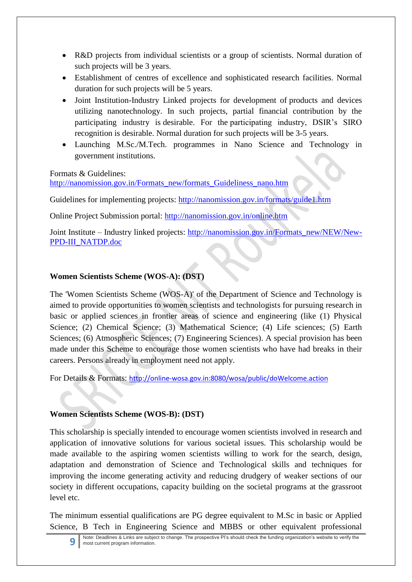- R&D projects from individual scientists or a group of scientists. Normal duration of such projects will be 3 years.
- Establishment of centres of excellence and sophisticated research facilities. Normal duration for such projects will be 5 years.
- Joint Institution-Industry Linked projects for development of products and devices utilizing nanotechnology. In such projects, partial financial contribution by the participating industry is desirable. For the participating industry, DSIR's SIRO recognition is desirable. Normal duration for such projects will be 3-5 years.
- Launching M.Sc./M.Tech. programmes in Nano Science and Technology in government institutions.

Formats & Guidelines:

[http://nanomission.gov.in/Formats\\_new/formats\\_Guideliness\\_nano.htm](http://nanomission.gov.in/Formats_new/formats_Guideliness_nano.htm)

Guidelines for implementing projects:<http://nanomission.gov.in/formats/guide1.htm>

Online Project Submission portal:<http://nanomission.gov.in/online.htm>

Joint Institute – Industry linked projects: [http://nanomission.gov.in/Formats\\_new/NEW/New-](http://nanomission.gov.in/Formats_new/NEW/New-PPD-III_NATDP.doc)[PPD-III\\_NATDP.doc](http://nanomission.gov.in/Formats_new/NEW/New-PPD-III_NATDP.doc)

# **Women Scientists Scheme (WOS-A): (DST)**

The 'Women Scientists Scheme (WOS-A)' of the Department of Science and Technology is aimed to provide opportunities to women scientists and technologists for pursuing research in basic or applied sciences in frontier areas of science and engineering (like (1) Physical Science; (2) Chemical Science; (3) Mathematical Science; (4) Life sciences; (5) Earth Sciences; (6) Atmospheric Sciences; (7) Engineering Sciences). A special provision has been made under this Scheme to encourage those women scientists who have had breaks in their careers. Persons already in employment need not apply.

For Details & Formats: <http://online-wosa.gov.in:8080/wosa/public/doWelcome.action>

### **Women Scientists Scheme (WOS-B): (DST)**

This scholarship is specially intended to encourage women scientists involved in research and application of innovative solutions for various societal issues. This scholarship would be made available to the aspiring women scientists willing to work for the search, design, adaptation and demonstration of Science and Technological skills and techniques for improving the income generating activity and reducing drudgery of weaker sections of our society in different occupations, capacity building on the societal programs at the grassroot level etc.

The minimum essential qualifications are PG degree equivalent to M.Sc in basic or Applied Science, B Tech in Engineering Science and MBBS or other equivalent professional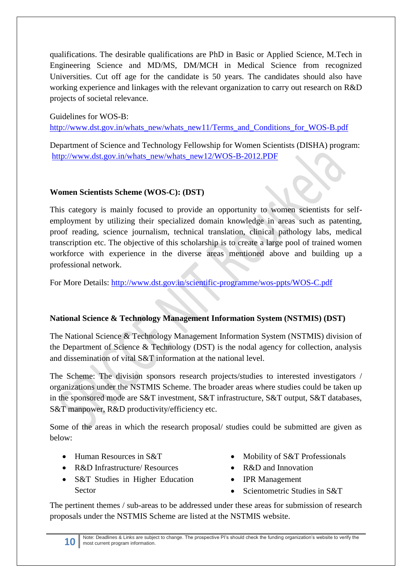qualifications. The desirable qualifications are PhD in Basic or Applied Science, M.Tech in Engineering Science and MD/MS, DM/MCH in Medical Science from recognized Universities. Cut off age for the candidate is 50 years. The candidates should also have working experience and linkages with the relevant organization to carry out research on R&D projects of societal relevance.

Guidelines for WOS-B:

[http://www.dst.gov.in/whats\\_new/whats\\_new11/Terms\\_and\\_Conditions\\_for\\_WOS-B.pdf](http://www.dst.gov.in/whats_new/whats_new11/Terms_and_Conditions_for_WOS-B.pdf)

Department of Science and Technology Fellowship for Women Scientists (DISHA) program: [http://www.dst.gov.in/whats\\_new/whats\\_new12/WOS-B-2012.PDF](http://www.dst.gov.in/whats_new/whats_new12/WOS-B-2012.PDF)

### **Women Scientists Scheme (WOS-C): (DST)**

This category is mainly focused to provide an opportunity to women scientists for selfemployment by utilizing their specialized domain knowledge in areas such as patenting, proof reading, science journalism, technical translation, clinical pathology labs, medical transcription etc. The objective of this scholarship is to create a large pool of trained women workforce with experience in the diverse areas mentioned above and building up a professional network.

For More Details:<http://www.dst.gov.in/scientific-programme/wos-ppts/WOS-C.pdf>

### **National Science & Technology Management Information System (NSTMIS) (DST)**

The National Science & Technology Management Information System (NSTMIS) division of the Department of Science & Technology (DST) is the nodal agency for collection, analysis and dissemination of vital S&T information at the national level.

The Scheme: The division sponsors research projects/studies to interested investigators / organizations under the NSTMIS Scheme. The broader areas where studies could be taken up in the sponsored mode are S&T investment, S&T infrastructure, S&T output, S&T databases, S&T manpower, R&D productivity/efficiency etc.

Some of the areas in which the research proposal/ studies could be submitted are given as below:

- $\bullet$  Human Resources in S&T
- R&D Infrastructure/ Resources
- S&T Studies in Higher Education Sector
- Mobility of S&T Professionals
- R&D and Innovation
- IPR Management
- Scientometric Studies in S&T

The pertinent themes / sub-areas to be addressed under these areas for submission of research proposals under the NSTMIS Scheme are listed at the NSTMIS website.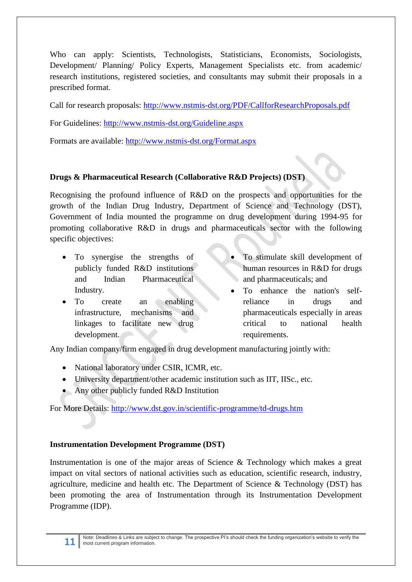Who can apply: Scientists, Technologists, Statisticians, Economists, Sociologists, Development/ Planning/ Policy Experts, Management Specialists etc. from academic/ research institutions, registered societies, and consultants may submit their proposals in a prescribed format.

Call for research proposals:<http://www.nstmis-dst.org/PDF/CallforResearchProposals.pdf>

For Guidelines:<http://www.nstmis-dst.org/Guideline.aspx>

Formats are available:<http://www.nstmis-dst.org/Format.aspx>

# **Drugs & Pharmaceutical Research (Collaborative R&D Projects) (DST)**

Recognising the profound influence of R&D on the prospects and opportunities for the growth of the Indian Drug Industry, Department of Science and Technology (DST), Government of India mounted the programme on drug development during 1994-95 for promoting collaborative R&D in drugs and pharmaceuticals sector with the following specific objectives:

- To synergise the strengths of publicly funded R&D institutions and Indian Pharmaceutical Industry.
- To create an enabling infrastructure, mechanisms and linkages to facilitate new drug development.
- To stimulate skill development of human resources in R&D for drugs and pharmaceuticals; and
- To enhance the nation's selfreliance in drugs and pharmaceuticals especially in areas critical to national health requirements.

Any Indian company/firm engaged in drug development manufacturing jointly with:

- National laboratory under CSIR, ICMR, etc.
- University department/other academic institution such as IIT, IISc., etc.
- Any other publicly funded R&D Institution

For More Details:<http://www.dst.gov.in/scientific-programme/td-drugs.htm>

### **Instrumentation Development Programme (DST)**

Instrumentation is one of the major areas of Science & Technology which makes a great impact on vital sectors of national activities such as education, scientific research, industry, agriculture, medicine and health etc. The Department of Science  $\&$  Technology (DST) has been promoting the area of Instrumentation through its Instrumentation Development Programme (IDP).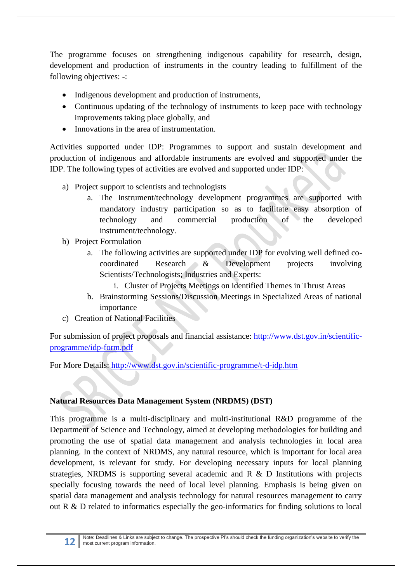The programme focuses on strengthening indigenous capability for research, design, development and production of instruments in the country leading to fulfillment of the following objectives: -:

- Indigenous development and production of instruments,
- Continuous updating of the technology of instruments to keep pace with technology improvements taking place globally, and
- Innovations in the area of instrumentation.

Activities supported under IDP: Programmes to support and sustain development and production of indigenous and affordable instruments are evolved and supported under the IDP. The following types of activities are evolved and supported under IDP:

- a) Project support to scientists and technologists
	- a. The Instrument/technology development programmes are supported with mandatory industry participation so as to facilitate easy absorption of technology and commercial production of the developed instrument/technology.
- b) Project Formulation
	- a. The following activities are supported under IDP for evolving well defined cocoordinated Research & Development projects involving Scientists/Technologists; Industries and Experts:
		- i. Cluster of Projects Meetings on identified Themes in Thrust Areas
	- b. Brainstorming Sessions/Discussion Meetings in Specialized Areas of national importance
- c) Creation of National Facilities

For submission of project proposals and financial assistance: [http://www.dst.gov.in/scientific](http://www.dst.gov.in/scientific-programme/idp-form.pdf)[programme/idp-form.pdf](http://www.dst.gov.in/scientific-programme/idp-form.pdf)

For More Details:<http://www.dst.gov.in/scientific-programme/t-d-idp.htm>

# **Natural Resources Data Management System (NRDMS) (DST)**

This programme is a multi-disciplinary and multi-institutional R&D programme of the Department of Science and Technology, aimed at developing methodologies for building and promoting the use of spatial data management and analysis technologies in local area planning. In the context of NRDMS, any natural resource, which is important for local area development, is relevant for study. For developing necessary inputs for local planning strategies, NRDMS is supporting several academic and R & D Institutions with projects specially focusing towards the need of local level planning. Emphasis is being given on spatial data management and analysis technology for natural resources management to carry out R & D related to informatics especially the geo-informatics for finding solutions to local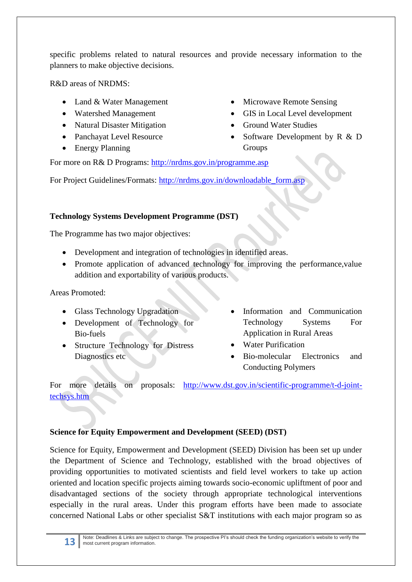specific problems related to natural resources and provide necessary information to the planners to make objective decisions.

R&D areas of NRDMS:

- Land & Water Management
- Watershed Management
- Natural Disaster Mitigation
- Panchayat Level Resource
- Energy Planning
- Microwave Remote Sensing
- GIS in Local Level development
- Ground Water Studies
- Software Development by R & D Groups

For more on R& D Programs:<http://nrdms.gov.in/programme.asp>

For Project Guidelines/Formats: [http://nrdms.gov.in/downloadable\\_form.asp](http://nrdms.gov.in/downloadable_form.asp)

# **Technology Systems Development Programme (DST)**

The Programme has two major objectives:

- Development and integration of technologies in identified areas.
- Promote application of advanced technology for improving the performance, value addition and exportability of various products.

Areas Promoted:

- Glass Technology Upgradation
- Development of Technology for Bio-fuels
- Structure Technology for Distress Diagnostics etc
- Information and Communication Technology Systems For Application in Rural Areas
- Water Purification
- Bio-molecular Electronics and Conducting Polymers

For more details on proposals: [http://www.dst.gov.in/scientific-programme/t-d-joint](http://www.dst.gov.in/scientific-programme/t-d-joint-techsys.htm)[techsys.htm](http://www.dst.gov.in/scientific-programme/t-d-joint-techsys.htm)

# **Science for Equity Empowerment and Development (SEED) (DST)**

Science for Equity, Empowerment and Development (SEED) Division has been set up under the Department of Science and Technology, established with the broad objectives of providing opportunities to motivated scientists and field level workers to take up action oriented and location specific projects aiming towards socio-economic upliftment of poor and disadvantaged sections of the society through appropriate technological interventions especially in the rural areas. Under this program efforts have been made to associate concerned National Labs or other specialist S&T institutions with each major program so as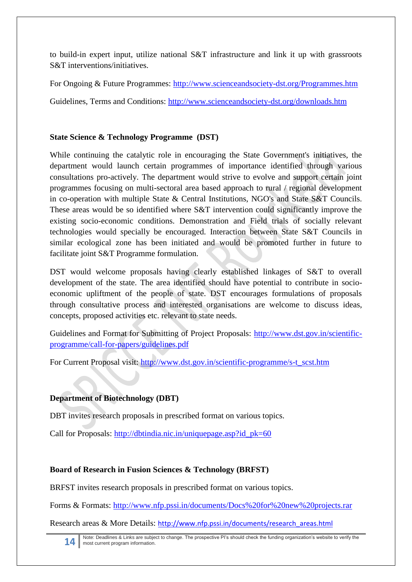to build-in expert input, utilize national S&T infrastructure and link it up with grassroots S&T interventions/initiatives.

For Ongoing & Future Programmes:<http://www.scienceandsociety-dst.org/Programmes.htm>

Guidelines, Terms and Conditions:<http://www.scienceandsociety-dst.org/downloads.htm>

# **State Science & Technology Programme (DST)**

While continuing the catalytic role in encouraging the State Government's initiatives, the department would launch certain programmes of importance identified through various consultations pro-actively. The department would strive to evolve and support certain joint programmes focusing on multi-sectoral area based approach to rural / regional development in co-operation with multiple State & Central Institutions, NGO's and State S&T Councils. These areas would be so identified where S&T intervention could significantly improve the existing socio-economic conditions. Demonstration and Field trials of socially relevant technologies would specially be encouraged. Interaction between State S&T Councils in similar ecological zone has been initiated and would be promoted further in future to facilitate joint S&T Programme formulation.

DST would welcome proposals having clearly established linkages of S&T to overall development of the state. The area identified should have potential to contribute in socioeconomic upliftment of the people of state. DST encourages formulations of proposals through consultative process and interested organisations are welcome to discuss ideas, concepts, proposed activities etc. relevant to state needs.

Guidelines and Format for Submitting of Project Proposals: [http://www.dst.gov.in/scientific](http://www.dst.gov.in/scientific-programme/call-for-papers/guidelines.pdf)[programme/call-for-papers/guidelines.pdf](http://www.dst.gov.in/scientific-programme/call-for-papers/guidelines.pdf)

For Current Proposal visit: [http://www.dst.gov.in/scientific-programme/s-t\\_scst.htm](http://www.dst.gov.in/scientific-programme/s-t_scst.htm)

# **Department of Biotechnology (DBT)**

DBT invites research proposals in prescribed format on various topics.

Call for Proposals: [http://dbtindia.nic.in/uniquepage.asp?id\\_pk=60](http://dbtindia.nic.in/uniquepage.asp?id_pk=60)

# **Board of Research in Fusion Sciences & Technology (BRFST)**

BRFST invites research proposals in prescribed format on various topics.

Forms & Formats:<http://www.nfp.pssi.in/documents/Docs%20for%20new%20projects.rar>

Research areas & More Details: [http://www.nfp.pssi.in/documents/research\\_areas.html](http://www.nfp.pssi.in/documents/research_areas.html)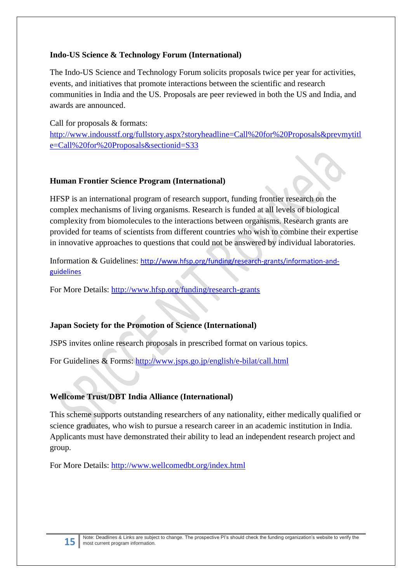### **Indo-US Science & Technology Forum (International)**

The Indo-US Science and Technology Forum solicits proposals twice per year for activities, events, and initiatives that promote interactions between the scientific and research communities in India and the US. Proposals are peer reviewed in both the US and India, and awards are announced.

Call for proposals & formats: [http://www.indousstf.org/fullstory.aspx?storyheadline=Call%20for%20Proposals&prevmytitl](http://www.indousstf.org/fullstory.aspx?storyheadline=Call%20for%20Proposals&prevmytitle=Call%20for%20Proposals§ionid=S33) [e=Call%20for%20Proposals&sectionid=S33](http://www.indousstf.org/fullstory.aspx?storyheadline=Call%20for%20Proposals&prevmytitle=Call%20for%20Proposals§ionid=S33)

#### **Human Frontier Science Program (International)**

HFSP is an international program of research support, funding frontier research on the complex mechanisms of living organisms. Research is funded at all levels of biological complexity from biomolecules to the interactions between organisms. Research grants are provided for teams of scientists from different countries who wish to combine their expertise in innovative approaches to questions that could not be answered by individual laboratories.

Information & Guidelines: [http://www.hfsp.org/funding/research-grants/information-and](http://www.hfsp.org/funding/research-grants/information-and-guidelines)[guidelines](http://www.hfsp.org/funding/research-grants/information-and-guidelines)

For More Details:<http://www.hfsp.org/funding/research-grants>

### **Japan Society for the Promotion of Science (International)**

JSPS invites online research proposals in prescribed format on various topics.

For Guidelines & Forms:<http://www.jsps.go.jp/english/e-bilat/call.html>

# **Wellcome Trust/DBT India Alliance (International)**

This scheme supports outstanding researchers of any nationality, either medically qualified or science graduates, who wish to pursue a research career in an academic institution in India. Applicants must have demonstrated their ability to lead an independent research project and group.

For More Details:<http://www.wellcomedbt.org/index.html>